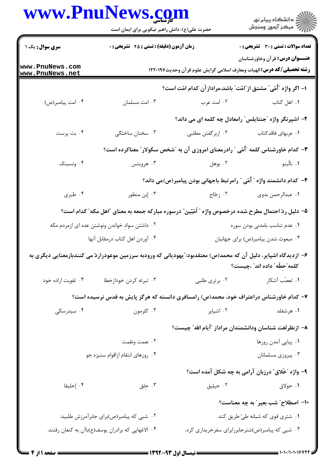## **WWW PnuNews com**

|                                    | www.PnuNews.com<br>حضرت علی(ع): دانش راهبر نیکویی برای ایمان است                                                 |                   | ڪ دانشڪاه پيام نور<br>/> مرڪز آزمون وسنڊش                                        |
|------------------------------------|------------------------------------------------------------------------------------------------------------------|-------------------|----------------------------------------------------------------------------------|
| <b>سری سوال :</b> یک ۱             | <b>زمان آزمون (دقیقه) : تستی : 45 تشریحی : 0</b>                                                                 |                   | تعداد سوالات : تستي : 30 - تشريحي : 0<br><b>عنـــوان درس:</b> قرآن وخاورشناسان   |
| www.PnuNews.com<br>www.PnuNews.net | <b>رشته تحصیلی/کد درس:</b> الهیات ومعارف اسلامی گرایش علوم قرآن وحدیث۱۲۲۰۱۹۷                                     |                   |                                                                                  |
|                                    |                                                                                                                  |                   | ا– اگر واژه ″أُمّي″ مشتق از″امّت″ باشد،مراداز آن کدام امّت است؟                  |
| ۰۴ امت پیامبر(ص)                   | ۰۳ امت مسلمان                                                                                                    | ۰۲ امت عرب        | ۰۱ اهل کتاب                                                                      |
|                                    |                                                                                                                  |                   | ۲– اشپرنگر واژه "جنتایلس" رامعادل چه کلمه ای می داند؟                            |
| ۴. بت پرست                         | ۰۳ سخنان ساختگی                                                                                                  | ۲. ازبرگفتن مطلبی | ۰۱ عربهای فاقدکتاب                                                               |
|                                    |                                                                                                                  |                   | ۳- کدام خاورشناس کلمه "اُمّی " رادرمعنای امروزی آن به "شخص سکولار" معناکرده است؟ |
| ۰۴ ونسینک                          | ۰۳ هرويتس                                                                                                        | ۰۲ بوهل           | ۰۱ نالّینو                                                                       |
|                                    |                                                                                                                  |                   | ۴– کدام دانشمند واژه ″ اًمّی ″ رامر تبط باجهانی بودن پیامبر(ص)می داند؟           |
| ۰۴ طبری                            | ۰۳ إبن منظور                                                                                                     | ۰۲ زجّاج          | ٠١. عبدالرحمن بدوى                                                               |
|                                    | ۵– دلیل ردّ احتمال مطرح شده درخصوص واژه ″ اَمّیّین″ درسوره مبارکه جمعه به معنای ″اهل مکه″ کدام است؟              |                   |                                                                                  |
|                                    | ۰۲ داشتن ِسوادِ خواندن ونوشتن عده ای ازمردم مکه                                                                  |                   | ٠١ عدم تناسب بامدنى بودن سوره                                                    |
|                                    | ۰۴ آوردن اهل كتاب درمقابل آنها                                                                                   |                   | ۰۳ مبعوث شدن پیامبر(ص) برای جهانیان                                              |
|                                    | ۶– ازدیدگاه اشپایر، دلیل آن که محمد(ص) معتقدبود: ّیهودیانی که ورودبه سرزمین موعودراردّ می کنندبارمعنایی دیگری به |                   | كلمه ٌحطّه ؒ داده اند ؒ ،چیست؟                                                   |
| ۰۴ تقویت اراده خود                 | ۰۳ تبرئه کردن خودازخطا                                                                                           |                   |                                                                                  |
|                                    | ۷– کدام خاورشناس دراعتراف خود، محمد(ص) رامسافری دانسته که هرگز پایش به قدس نرسیده است؟                           |                   |                                                                                  |
| ۰۴ سیدرسکی                         | ۰۳ کلرمون                                                                                                        | ۰۲ اشپایر         | ۰۱ هرشفلد                                                                        |
|                                    |                                                                                                                  |                   | ۸– ازنظرلغت شناسان ودانشمندان مراداز ″أيام الله″ چيست؟                           |
|                                    | ۰۲ نعمت ونقمت                                                                                                    |                   | ٠١. پياپي آمدن روزها                                                             |
|                                    | ۰۴ روزهای انتقام ازاقوام ستیزه جو                                                                                |                   | ۰۳ پیروزی مسلمانان                                                               |
|                                    |                                                                                                                  |                   | ۹- واژه "خَلاق" درزبان آرامی به چه شکل آمده است؟                                 |
| ۰۴ إحليقا                          | ۰۳ جلق                                                                                                           | ۰۲ حیلیق          | ۱. حولاق                                                                         |
|                                    |                                                                                                                  |                   | ۱۰– اصطلاح" شب بعیر " به چه معناست؟                                              |
|                                    | ۰۲ شبی که پیامبر(ص)برای جابرآمرزش طلبید.                                                                         |                   | ۰۱ شتری قوی که شبانه طیّ طریق کند.                                               |
|                                    | ۰۴ الاغهایی که برادران یوسف(ع)باآن به کنعان رفتند.                                                               |                   | ۰۳ شبی که پیامبر(ص)شترجابررابرای سفرخریداری کرد.                                 |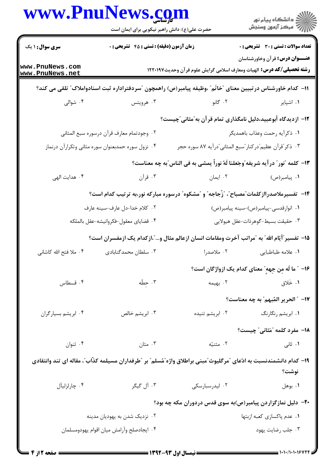| www.PnuNews.com                                                                                                    | حضرت علی(ع): دانش راهبر نیکویی برای ایمان است                                                               |                                                                                                                                                                                                                                      | ر دانشڪاه پيام نور<br>ا∛ مرڪز آزمون وسنڊش                                                                                                |  |  |  |
|--------------------------------------------------------------------------------------------------------------------|-------------------------------------------------------------------------------------------------------------|--------------------------------------------------------------------------------------------------------------------------------------------------------------------------------------------------------------------------------------|------------------------------------------------------------------------------------------------------------------------------------------|--|--|--|
| سری سوال : ۱ یک                                                                                                    | <b>زمان آزمون (دقیقه) : تستی : 45 گتشریحی : 0</b>                                                           |                                                                                                                                                                                                                                      | <b>تعداد سوالات : تستی : 30 ٪ تشریحی : 0</b>                                                                                             |  |  |  |
| www.PnuNews.com<br>www.PnuNews.net                                                                                 |                                                                                                             | <b>رشته تحصیلی/کد درس:</b> الهیات ومعارف اسلامی گرایش علوم قرآن وحدیث۱۲۲۰۱۹۷                                                                                                                                                         | <b>عنـــوان درس:</b> قرآن وخاورشناسان                                                                                                    |  |  |  |
|                                                                                                                    | 11– كدام خاورشناس درتبيين معناي "خاتَم" ،وظيفه پيامبر(ص) راهمچون "سردفتراداره ثبت اسنادواملاک" تلقي مي کند؟ |                                                                                                                                                                                                                                      |                                                                                                                                          |  |  |  |
| ۰۴ شوالی                                                                                                           | ۰۳ هرویتس                                                                                                   | ۲. گانو                                                                                                                                                                                                                              | ۰۱ اشپایر                                                                                                                                |  |  |  |
|                                                                                                                    |                                                                                                             | ۱۲– ازدیدگاه أبوعبید،دلیل نامگذاری تمام قر آن به ؒمثانی ؒچیست؟                                                                                                                                                                       |                                                                                                                                          |  |  |  |
|                                                                                                                    | ٠٢ وجودتمام معارف قرآن درسوره سبع المثاني                                                                   |                                                                                                                                                                                                                                      | ١. ذكراًيه رحمت وعذاب باهمديگر                                                                                                           |  |  |  |
|                                                                                                                    | ۰۴ نزول سوره حمدبعنوان سوره مثاني وتكرارآن درنماز                                                           | ۰۳ ذکر "قرآن عظیم"درکنار "سبع المثانی"درآیه ۸۷ سوره حجر                                                                                                                                                                              |                                                                                                                                          |  |  |  |
|                                                                                                                    |                                                                                                             | ۱۳- كلمه "نور" درآيه شريفه"وجَعلنا لَهُ نوراً يمشي به في الناس"به چه معناست؟                                                                                                                                                         |                                                                                                                                          |  |  |  |
| ۰۴ هدایت الهی                                                                                                      | ۰۳ قرآن                                                                                                     | ۰۲ ایمان                                                                                                                                                                                                                             | ۰۱ پیامبر(ص)                                                                                                                             |  |  |  |
|                                                                                                                    |                                                                                                             | ۱۴– تفسیرملاصدراازکلمات ؒمصباح ؒ، ؒزُجاجه ؒ و  ؒمشکوه ؒ درسوره مبارکه نور،به ترتیب کدام است؟                                                                                                                                         |                                                                                                                                          |  |  |  |
|                                                                                                                    | ۰۲ کلام خدا-دل عارف-سینه عارف                                                                               |                                                                                                                                                                                                                                      | ٠١ انوارقدسي-پيامبر(ص)-سينه پيامبر(ص)                                                                                                    |  |  |  |
|                                                                                                                    | ۰۴ قضاياي معقول-فكروانيشه-عقل بالملكه                                                                       |                                                                                                                                                                                                                                      | ۰۳ حقیقت بسیط-گوهرذات-عقل هیولایی                                                                                                        |  |  |  |
|                                                                                                                    |                                                                                                             | ۱۵− تفسیر ًأیّام الله ً به ″مراتب آخرت ومقامات انسان ازعالم مثال و…″،ازکدام یک ازمفسران است؟                                                                                                                                         |                                                                                                                                          |  |  |  |
| ۰۴ ملا فتح الله کاشانی                                                                                             | ۰۳ سلطان محمدگنابادی                                                                                        | ۰۲ ملاصدرا                                                                                                                                                                                                                           | ٠١. علامه طباطبايي                                                                                                                       |  |  |  |
|                                                                                                                    |                                                                                                             |                                                                                                                                                                                                                                      | ۱۶- ″ ما لَه مِن جِههٍ″ معنای کدام یک ازواژگان است؟                                                                                      |  |  |  |
| ۰۴ قسطاس                                                                                                           | ۰۳ حِطّه                                                                                                    |                                                                                                                                                                                                                                      | ۰۱ خَلاق می کنیمه است.<br>در این مورد به مورد به مورد به مورد به مورد به مورد به مورد به مورد به مورد به مورد به مورد به مورد به مورد به |  |  |  |
|                                                                                                                    |                                                                                                             |                                                                                                                                                                                                                                      | ١٧- ″ الحرير المُبهم″ به چه معناست؟                                                                                                      |  |  |  |
| ۰۴ ابریشم بسیارگران                                                                                                | ۰۳ ابریشم خالص                                                                                              | ۰۲ ابریشم تنیده                                                                                                                                                                                                                      | ۰۱ ابریشم رنگارنگ                                                                                                                        |  |  |  |
|                                                                                                                    |                                                                                                             |                                                                                                                                                                                                                                      | <b>۱۸-</b> مفرد کلمه "مَثانی" چیست؟                                                                                                      |  |  |  |
| ۰۴ ثنوان                                                                                                           | مثان $\cdot$ ۳ .                                                                                            | <b>۱.</b> ثانی منتسل است است است است به این کشت است است است که به این کشت است که این کشت است که این که این که این که<br>این که این که این که این که این که این که این که این که این که این که این که این که این که این که این که این |                                                                                                                                          |  |  |  |
| ۱۹– کدام دانشمندنسبت به ادّعای "مرگلیوث"مبنی براطلاق واژه"مُسلم" بر "طرفداران مسیلمه کذّاب"، مقاله ای تند وانتقادی |                                                                                                             |                                                                                                                                                                                                                                      |                                                                                                                                          |  |  |  |
|                                                                                                                    |                                                                                                             |                                                                                                                                                                                                                                      | نوشت؟                                                                                                                                    |  |  |  |
| ۰۴ چارلزليآل                                                                                                       | ۰۳ آل گیگر                                                                                                  | ۰۲ لیدرسبارسکی                                                                                                                                                                                                                       | ۰۱ بوهل                                                                                                                                  |  |  |  |
| ۲۰- دلیل نمازگزاردن پیامبر(ص)به سوی قدس دردوران مکه چه بود؟                                                        |                                                                                                             |                                                                                                                                                                                                                                      |                                                                                                                                          |  |  |  |
|                                                                                                                    | ۰۲ نزدیک شدن به یهودیان مدینه                                                                               |                                                                                                                                                                                                                                      | ٠١ عدم پاکسازي کعبه ازبتها                                                                                                               |  |  |  |
|                                                                                                                    | ۰۴ ایجادصلح وآرامش میان اقوام یهودومسلمان                                                                   |                                                                                                                                                                                                                                      | ۰۳ جلب رضایت یهود                                                                                                                        |  |  |  |
|                                                                                                                    |                                                                                                             |                                                                                                                                                                                                                                      |                                                                                                                                          |  |  |  |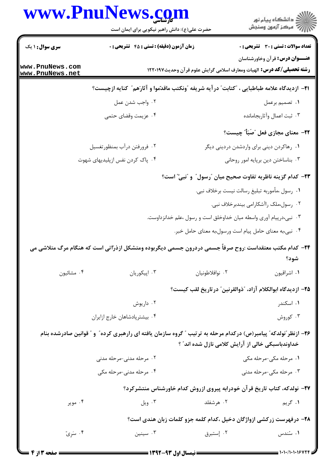|                                    | www.PnuNews.com                                                                                                   |                 | ِ دانشگاه پيام نور<br>// مرکز آزمون وسنجش                                                                             |
|------------------------------------|-------------------------------------------------------------------------------------------------------------------|-----------------|-----------------------------------------------------------------------------------------------------------------------|
|                                    | حضرت علی(ع): دانش راهبر نیکویی برای ایمان است                                                                     |                 |                                                                                                                       |
| <b>سری سوال : ۱ یک</b>             | زمان آزمون (دقیقه) : تستی : 45 آتشریحی : 0                                                                        |                 | <b>تعداد سوالات : تستی : 30 ٪ تشریحی : 0</b>                                                                          |
| www.PnuNews.com<br>www.PnuNews.net |                                                                                                                   |                 | <b>عنـــوان درس:</b> قرآن وخاورشناسان<br><b>رشته تحصیلی/کد درس:</b> الهیات ومعارف اسلامی گرایش علوم قرآن وحدیث۱۲۲۰۱۹۷ |
|                                    | <b>ا۲− ازدیدگاه علامه طباطبایی ، ″کتابت″ در آیه شریفه ″ونکتب ماقدّموا و آثارَهم″ کنایه ازچیست؟</b>                |                 |                                                                                                                       |
|                                    | ۰۲ واجب شدن عمل                                                                                                   |                 | ۰۱ تصمیم برعمل                                                                                                        |
|                                    | ۰۴ عزیمت وقضای حتمی                                                                                               |                 | ۰۳ ثبت اعمال وأثاربجامانده                                                                                            |
|                                    |                                                                                                                   |                 | <b>۲۲</b> - معنای مجازی فعل "صَبَأٌ" چیست؟                                                                            |
|                                    | ۰۲ فرورفتن درآب بمنظورتغسيل                                                                                       |                 | ۰۱ رهاکردن دینی برای واردشدن دردینی دیگر                                                                              |
|                                    | ۰۴ پاک کردن نفس ازپلیدیهای شهوت                                                                                   |                 | ۰۳ بناساختن دین برپایه امور روحانی                                                                                    |
|                                    |                                                                                                                   |                 | <b>۲۳</b> – کدام گزینه ناظربه تفاوت صحیح میان  ؒرسول ؒ و ؒنبی ؒ است؟                                                  |
|                                    |                                                                                                                   |                 | ٠١ رسول ،مأموربه تبليغ رسالت نيست برخلاف نبي.                                                                         |
|                                    |                                                                                                                   |                 | ۰۲ رسول،ملک راآشکارامی بیندبرخلاف نبی.                                                                                |
|                                    |                                                                                                                   |                 | ۰۳ نبی،درپیام آوری واسطه میان خداوخلق است و رسول ،علم خدانزداوست.                                                     |
|                                    |                                                                                                                   |                 | ۰۴ نبی،به معنای حامل پیام است ورسول،به معنای حامل خبر.                                                                |
|                                    | ۲۴– کدام مکتب معتقداست :روح صرفاً جسمی دردرون جسمی دیگربوده ومتشکل ازذرّاتی است که هنگام مرگ متلاشی می            |                 |                                                                                                                       |
|                                    |                                                                                                                   |                 | شود؟                                                                                                                  |
| ۰۴ مشائيون                         | ۰۳ اپیکوریان                                                                                                      | ٠٢ نوافلاطونيان | ٠١ اشراقيون                                                                                                           |
|                                    |                                                                                                                   |                 | ٢۵– ازديدگاه ابوالكلام آزاد، "ذوالقرنين" درتاريخ لقب كيست؟                                                            |
|                                    | ۰۲ داریوش                                                                                                         |                 | ۰۱ اسکندر                                                                                                             |
|                                    | ۰۴ بیشترپادشاهان خارج ازایران                                                                                     |                 | ۰۳ کوروش                                                                                                              |
|                                    | ۲۶– ازنظر ّنولدکه ّ پیامبر(ص) درکدام مرحله به ترتیب ″ گروه سازمان یافته ای رارهبری کرده ّ و ″ قوانین صادرشده بنام |                 |                                                                                                                       |
|                                    |                                                                                                                   |                 | خداوندباسبکی خالی از آرایش کلامی نازل شده اند" ؟                                                                      |
|                                    | ۰۲ مرحله مدنی-مرحله مدنی                                                                                          |                 | ۰۱ مرحله مکی-مرحله مکی                                                                                                |
|                                    | ۰۴ مرحله مدنی-مرحله مکی                                                                                           |                 | ۰۳ مرحله مکی-مرحله مدنی                                                                                               |
|                                    |                                                                                                                   |                 | ۲۷– نولدکه، کتاب تاریخ قرآن خودرابه پیروی ازروش کدام خاورشناس منتشرکرد؟                                               |
| ۰۴ موير                            | ۰۳ ویل                                                                                                            | ۰۲ هرشفلد       | ۰۱ گريم                                                                                                               |
|                                    |                                                                                                                   |                 | ۲۸– درفهرست زرکشی ازواژگان دخیل ،کدام کلمه جزو کلمات زبان هندی است؟                                                   |
| ۰۴ سَرِيّ                          | ۰۳ سینین                                                                                                          | ٠٢ إستبرق       | ۰۱ سُندس                                                                                                              |
|                                    |                                                                                                                   |                 |                                                                                                                       |